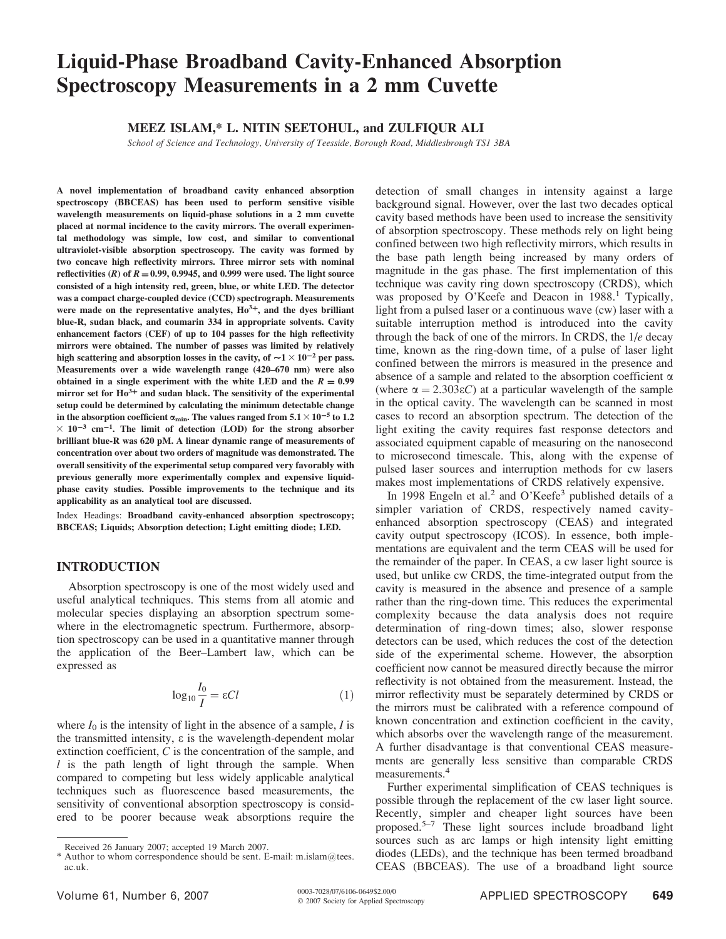# **Liquid-Phase Broadband Cavity-Enhanced Absorption Spectroscopy Measurements in a 2 mm Cuvette**

### MEEZ ISLAM,\* L. NITIN SEETOHUL, and ZULFIQUR ALI

School of Science and Technology, University of Teesside, Borough Road, Middlesbrough TS1 3BA

A novel implementation of broadband cavity enhanced absorption spectroscopy (BBCEAS) has been used to perform sensitive visible wavelength measurements on liquid-phase solutions in a 2 mm cuvette placed at normal incidence to the cavity mirrors. The overall experimental methodology was simple, low cost, and similar to conventional ultraviolet-visible absorption spectroscopy. The cavity was formed by two concave high reflectivity mirrors. Three mirror sets with nominal reflectivities (R) of  $R = 0.99, 0.9945$ , and 0.999 were used. The light source consisted of a high intensity red, green, blue, or white LED. The detector was a compact charge-coupled device (CCD) spectrograph. Measurements were made on the representative analytes,  $Ho^{3+}$ , and the dyes brilliant blue-R, sudan black, and coumarin 334 in appropriate solvents. Cavity enhancement factors (CEF) of up to 104 passes for the high reflectivity mirrors were obtained. The number of passes was limited by relatively high scattering and absorption losses in the cavity, of  $\sim$ 1 $\times$ 10<sup>-2</sup> per pass. Measurements over a wide wavelength range (420-670 nm) were also obtained in a single experiment with the white LED and the  $R = 0.99$ mirror set for  $H_0^{3+}$  and sudan black. The sensitivity of the experimental setup could be determined by calculating the minimum detectable change in the absorption coefficient  $\alpha_{\rm min}$  . The values ranged from  $5.1\times10^{-5}$  to  $1.2$  $\times$  10<sup>-3</sup> cm<sup>-1</sup>. The limit of detection (LOD) for the strong absorber brilliant blue-R was 620 pM. A linear dynamic range of measurements of concentration over about two orders of magnitude was demonstrated. The overall sensitivity of the experimental setup compared very favorably with previous generally more experimentally complex and expensive liquidphase cavity studies. Possible improvements to the technique and its applicability as an analytical tool are discussed.

Index Headings: Broadband cavity-enhanced absorption spectroscopy; BBCEAS; Liquids; Absorption detection; Light emitting diode; LED.

# **INTRODUCTION**

Absorption spectroscopy is one of the most widely used and useful analytical techniques. This stems from all atomic and molecular species displaying an absorption spectrum somewhere in the electromagnetic spectrum. Furthermore, absorption spectroscopy can be used in a quantitative manner through the application of the Beer-Lambert law, which can be expressed as

$$
\log_{10} \frac{I_0}{I} = \varepsilon Cl \tag{1}
$$

where  $I_0$  is the intensity of light in the absence of a sample, I is the transmitted intensity,  $\varepsilon$  is the wavelength-dependent molar extinction coefficient,  $C$  is the concentration of the sample, and  $l$  is the path length of light through the sample. When compared to competing but less widely applicable analytical techniques such as fluorescence based measurements, the sensitivity of conventional absorption spectroscopy is considered to be poorer because weak absorptions require the

detection of small changes in intensity against a large background signal. However, over the last two decades optical cavity based methods have been used to increase the sensitivity of absorption spectroscopy. These methods rely on light being confined between two high reflectivity mirrors, which results in the base path length being increased by many orders of magnitude in the gas phase. The first implementation of this technique was cavity ring down spectroscopy (CRDS), which was proposed by O'Keefe and Deacon in 1988. Typically, light from a pulsed laser or a continuous wave (cw) laser with a suitable interruption method is introduced into the cavity through the back of one of the mirrors. In CRDS, the  $1/e$  decay time, known as the ring-down time, of a pulse of laser light confined between the mirrors is measured in the presence and absence of a sample and related to the absorption coefficient  $\alpha$ (where  $\alpha = 2.303\epsilon C$ ) at a particular wavelength of the sample in the optical cavity. The wavelength can be scanned in most cases to record an absorption spectrum. The detection of the light exiting the cavity requires fast response detectors and associated equipment capable of measuring on the nanosecond to microsecond timescale. This, along with the expense of pulsed laser sources and interruption methods for cw lasers makes most implementations of CRDS relatively expensive.

In 1998 Engeln et al.<sup>2</sup> and O'Keefe<sup>3</sup> published details of a simpler variation of CRDS, respectively named cavityenhanced absorption spectroscopy (CEAS) and integrated cavity output spectroscopy (ICOS). In essence, both implementations are equivalent and the term CEAS will be used for the remainder of the paper. In CEAS, a cw laser light source is used, but unlike cw CRDS, the time-integrated output from the cavity is measured in the absence and presence of a sample rather than the ring-down time. This reduces the experimental complexity because the data analysis does not require determination of ring-down times; also, slower response detectors can be used, which reduces the cost of the detection side of the experimental scheme. However, the absorption coefficient now cannot be measured directly because the mirror reflectivity is not obtained from the measurement. Instead, the mirror reflectivity must be separately determined by CRDS or the mirrors must be calibrated with a reference compound of known concentration and extinction coefficient in the cavity, which absorbs over the wavelength range of the measurement. A further disadvantage is that conventional CEAS measurements are generally less sensitive than comparable CRDS measurements.<sup>4</sup>

Further experimental simplification of CEAS techniques is possible through the replacement of the cw laser light source. Recently, simpler and cheaper light sources have been proposed.<sup>5-7</sup> These light sources include broadband light sources such as arc lamps or high intensity light emitting diodes (LEDs), and the technique has been termed broadband CEAS (BBCEAS). The use of a broadband light source

Received 26 January 2007; accepted 19 March 2007.

<sup>\*</sup> Author to whom correspondence should be sent. E-mail: m.islam@tees.  $ac<sub>11</sub>k$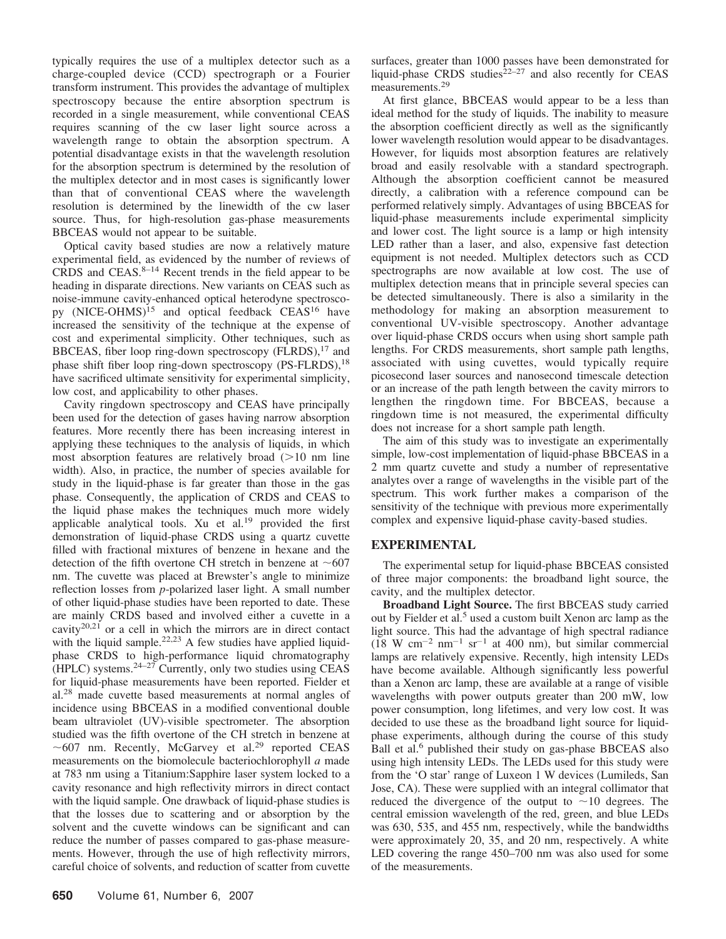typically requires the use of a multiplex detector such as a charge-coupled device (CCD) spectrograph or a Fourier transform instrument. This provides the advantage of multiplex spectroscopy because the entire absorption spectrum is recorded in a single measurement, while conventional CEAS requires scanning of the cw laser light source across a wavelength range to obtain the absorption spectrum. A potential disadvantage exists in that the wavelength resolution for the absorption spectrum is determined by the resolution of the multiplex detector and in most cases is significantly lower than that of conventional CEAS where the wavelength resolution is determined by the linewidth of the cw laser source. Thus, for high-resolution gas-phase measurements BBCEAS would not appear to be suitable.

Optical cavity based studies are now a relatively mature experimental field, as evidenced by the number of reviews of CRDS and CEAS. $8-14$  Recent trends in the field appear to be heading in disparate directions. New variants on CEAS such as noise-immune cavity-enhanced optical heterodyne spectroscopy (NICE-OHMS)<sup>15</sup> and optical feedback CEAS<sup>16</sup> have increased the sensitivity of the technique at the expense of cost and experimental simplicity. Other techniques, such as BBCEAS, fiber loop ring-down spectroscopy (FLRDS),<sup>17</sup> and phase shift fiber loop ring-down spectroscopy (PS-FLRDS),<sup>18</sup> have sacrificed ultimate sensitivity for experimental simplicity, low cost, and applicability to other phases.

Cavity ringdown spectroscopy and CEAS have principally been used for the detection of gases having narrow absorption features. More recently there has been increasing interest in applying these techniques to the analysis of liquids, in which most absorption features are relatively broad  $(>10$  nm line width). Also, in practice, the number of species available for study in the liquid-phase is far greater than those in the gas phase. Consequently, the application of CRDS and CEAS to the liquid phase makes the techniques much more widely applicable analytical tools. Xu et al.<sup>19</sup> provided the first demonstration of liquid-phase CRDS using a quartz cuvette filled with fractional mixtures of benzene in hexane and the detection of the fifth overtone CH stretch in benzene at  $\sim 607$ nm. The cuvette was placed at Brewster's angle to minimize reflection losses from *p*-polarized laser light. A small number of other liquid-phase studies have been reported to date. These are mainly CRDS based and involved either a cuvette in a cavity<sup>20,21</sup> or a cell in which the mirrors are in direct contact with the liquid sample.<sup>22,23</sup> A few studies have applied liquidphase CRDS to high-performance liquid chromatography (HPLC) systems.<sup>24-27</sup> Currently, only two studies using CEAS for liquid-phase measurements have been reported. Fielder et al.<sup>28</sup> made cuvette based measurements at normal angles of incidence using BBCEAS in a modified conventional double beam ultraviolet (UV)-visible spectrometer. The absorption studied was the fifth overtone of the CH stretch in benzene at  $\sim$  607 nm. Recently, McGarvey et al.<sup>29</sup> reported CEAS measurements on the biomolecule bacteriochlorophyll  $a$  made at 783 nm using a Titanium: Sapphire laser system locked to a cavity resonance and high reflectivity mirrors in direct contact with the liquid sample. One drawback of liquid-phase studies is that the losses due to scattering and or absorption by the solvent and the cuvette windows can be significant and can reduce the number of passes compared to gas-phase measurements. However, through the use of high reflectivity mirrors, careful choice of solvents, and reduction of scatter from cuvette

surfaces, greater than 1000 passes have been demonstrated for liquid-phase CRDS studies<sup> $22-27$ </sup> and also recently for CEAS measurements.<sup>29</sup>

At first glance, BBCEAS would appear to be a less than ideal method for the study of liquids. The inability to measure the absorption coefficient directly as well as the significantly lower wavelength resolution would appear to be disadvantages. However, for liquids most absorption features are relatively broad and easily resolvable with a standard spectrograph. Although the absorption coefficient cannot be measured directly, a calibration with a reference compound can be performed relatively simply. Advantages of using BBCEAS for liquid-phase measurements include experimental simplicity and lower cost. The light source is a lamp or high intensity LED rather than a laser, and also, expensive fast detection equipment is not needed. Multiplex detectors such as CCD spectrographs are now available at low cost. The use of multiplex detection means that in principle several species can be detected simultaneously. There is also a similarity in the methodology for making an absorption measurement to conventional UV-visible spectroscopy. Another advantage over liquid-phase CRDS occurs when using short sample path lengths. For CRDS measurements, short sample path lengths, associated with using cuvettes, would typically require picosecond laser sources and nanosecond timescale detection or an increase of the path length between the cavity mirrors to lengthen the ringdown time. For BBCEAS, because a ringdown time is not measured, the experimental difficulty does not increase for a short sample path length.

The aim of this study was to investigate an experimentally simple, low-cost implementation of liquid-phase BBCEAS in a 2 mm quartz cuvette and study a number of representative analytes over a range of wavelengths in the visible part of the spectrum. This work further makes a comparison of the sensitivity of the technique with previous more experimentally complex and expensive liquid-phase cavity-based studies.

# **EXPERIMENTAL**

The experimental setup for liquid-phase BBCEAS consisted of three major components: the broadband light source, the cavity, and the multiplex detector.

Broadband Light Source. The first BBCEAS study carried out by Fielder et al.<sup>5</sup> used a custom built Xenon arc lamp as the light source. This had the advantage of high spectral radiance  $(18 \text{ W cm}^{-2} \text{ nm}^{-1} \text{ sr}^{-1}$  at 400 nm), but similar commercial lamps are relatively expensive. Recently, high intensity LEDs have become available. Although significantly less powerful than a Xenon arc lamp, these are available at a range of visible wavelengths with power outputs greater than 200 mW, low power consumption, long lifetimes, and very low cost. It was decided to use these as the broadband light source for liquidphase experiments, although during the course of this study Ball et al.<sup>6</sup> published their study on gas-phase BBCEAS also using high intensity LEDs. The LEDs used for this study were from the 'O star' range of Luxeon 1 W devices (Lumileds, San Jose, CA). These were supplied with an integral collimator that reduced the divergence of the output to  $\sim$ 10 degrees. The central emission wavelength of the red, green, and blue LEDs was 630, 535, and 455 nm, respectively, while the bandwidths were approximately 20, 35, and 20 nm, respectively. A white LED covering the range 450–700 nm was also used for some of the measurements.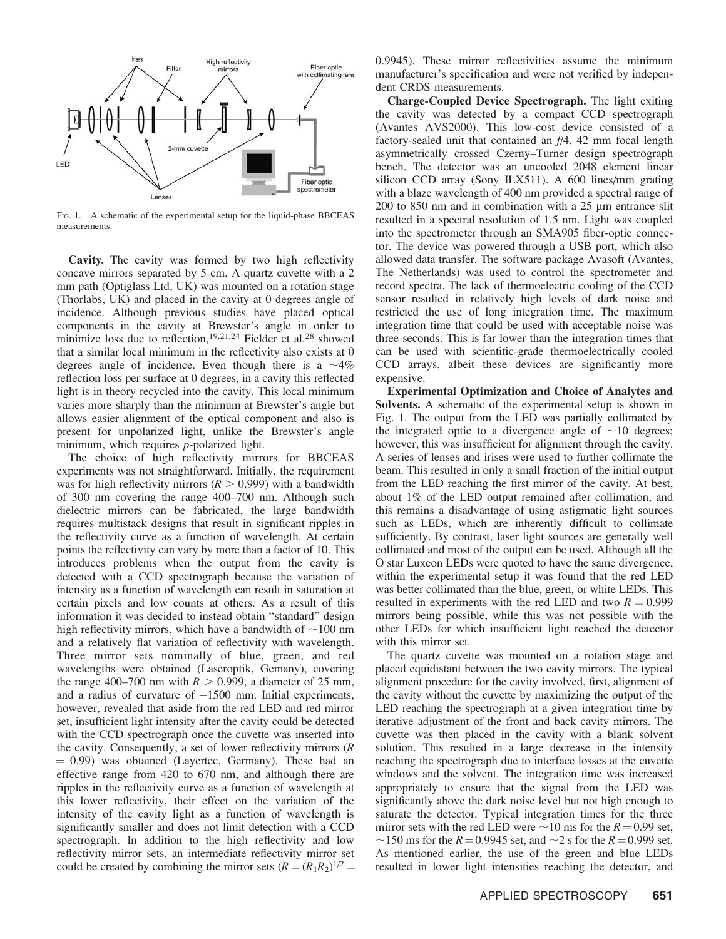

FIG. 1. A schematic of the experimental setup for the liquid-phase BBCEAS measurements.

Cavity. The cavity was formed by two high reflectivity concave mirrors separated by 5 cm. A quartz cuvette with a 2 mm path (Optiglass Ltd, UK) was mounted on a rotation stage (Thorlabs, UK) and placed in the cavity at 0 degrees angle of incidence. Although previous studies have placed optical components in the cavity at Brewster's angle in order to minimize loss due to reflection,<sup>19,21,24</sup> Fielder et al.<sup>28</sup> showed that a similar local minimum in the reflectivity also exists at 0 degrees angle of incidence. Even though there is a  $\sim$ 4% reflection loss per surface at 0 degrees, in a cavity this reflected light is in theory recycled into the cavity. This local minimum varies more sharply than the minimum at Brewster's angle but allows easier alignment of the optical component and also is present for unpolarized light, unlike the Brewster's angle minimum, which requires  $p$ -polarized light.

The choice of high reflectivity mirrors for BBCEAS experiments was not straightforward. Initially, the requirement was for high reflectivity mirrors ( $R > 0.999$ ) with a bandwidth of 300 nm covering the range 400–700 nm. Although such dielectric mirrors can be fabricated, the large bandwidth requires multistack designs that result in significant ripples in the reflectivity curve as a function of wavelength. At certain points the reflectivity can vary by more than a factor of 10. This introduces problems when the output from the cavity is detected with a CCD spectrograph because the variation of intensity as a function of wavelength can result in saturation at certain pixels and low counts at others. As a result of this information it was decided to instead obtain "standard" design high reflectivity mirrors, which have a bandwidth of  $\sim$ 100 nm and a relatively flat variation of reflectivity with wavelength. Three mirror sets nominally of blue, green, and red wavelengths were obtained (Laseroptik, Gemany), covering the range 400–700 nm with  $R > 0.999$ , a diameter of 25 mm, and a radius of curvature of  $-1500$  mm. Initial experiments, however, revealed that aside from the red LED and red mirror set, insufficient light intensity after the cavity could be detected with the CCD spectrograph once the cuvette was inserted into the cavity. Consequently, a set of lower reflectivity mirrors  $(R)$  $= 0.99$ ) was obtained (Layertec, Germany). These had an effective range from 420 to 670 nm, and although there are ripples in the reflectivity curve as a function of wavelength at this lower reflectivity, their effect on the variation of the intensity of the cavity light as a function of wavelength is significantly smaller and does not limit detection with a CCD spectrograph. In addition to the high reflectivity and low reflectivity mirror sets, an intermediate reflectivity mirror set could be created by combining the mirror sets  $(R = (R_1R_2)^{1/2}$  0.9945). These mirror reflectivities assume the minimum manufacturer's specification and were not verified by independent CRDS measurements.

Charge-Coupled Device Spectrograph. The light exiting the cavity was detected by a compact CCD spectrograph (Avantes AVS2000). This low-cost device consisted of a factory-sealed unit that contained an  $f/4$ , 42 mm focal length asymmetrically crossed Czerny–Turner design spectrograph bench. The detector was an uncooled 2048 element linear silicon CCD array (Sony ILX511). A 600 lines/mm grating with a blaze wavelength of 400 nm provided a spectral range of 200 to 850 nm and in combination with a 25 µm entrance slit resulted in a spectral resolution of 1.5 nm. Light was coupled into the spectrometer through an SMA905 fiber-optic connector. The device was powered through a USB port, which also allowed data transfer. The software package Avasoft (Avantes, The Netherlands) was used to control the spectrometer and record spectra. The lack of thermoelectric cooling of the CCD sensor resulted in relatively high levels of dark noise and restricted the use of long integration time. The maximum integration time that could be used with acceptable noise was three seconds. This is far lower than the integration times that can be used with scientific-grade thermoelectrically cooled CCD arrays, albeit these devices are significantly more expensive.

**Experimental Optimization and Choice of Analytes and** Solvents. A schematic of the experimental setup is shown in Fig. 1. The output from the LED was partially collimated by the integrated optic to a divergence angle of  $\sim$ 10 degrees; however, this was insufficient for alignment through the cavity. A series of lenses and irises were used to further collimate the beam. This resulted in only a small fraction of the initial output from the LED reaching the first mirror of the cavity. At best, about 1% of the LED output remained after collimation, and this remains a disadvantage of using astigmatic light sources such as LEDs, which are inherently difficult to collimate sufficiently. By contrast, laser light sources are generally well collimated and most of the output can be used. Although all the O star Luxeon LEDs were quoted to have the same divergence, within the experimental setup it was found that the red LED was better collimated than the blue, green, or white LEDs. This resulted in experiments with the red LED and two  $R = 0.999$ mirrors being possible, while this was not possible with the other LEDs for which insufficient light reached the detector with this mirror set.

The quartz cuvette was mounted on a rotation stage and placed equidistant between the two cavity mirrors. The typical alignment procedure for the cavity involved, first, alignment of the cavity without the cuvette by maximizing the output of the LED reaching the spectrograph at a given integration time by iterative adjustment of the front and back cavity mirrors. The cuvette was then placed in the cavity with a blank solvent solution. This resulted in a large decrease in the intensity reaching the spectrograph due to interface losses at the cuvette windows and the solvent. The integration time was increased appropriately to ensure that the signal from the LED was significantly above the dark noise level but not high enough to saturate the detector. Typical integration times for the three mirror sets with the red LED were  $\sim$  10 ms for the  $R = 0.99$  set,  $\sim$ 150 ms for the R = 0.9945 set, and  $\sim$ 2 s for the R = 0.999 set. As mentioned earlier, the use of the green and blue LEDs resulted in lower light intensities reaching the detector, and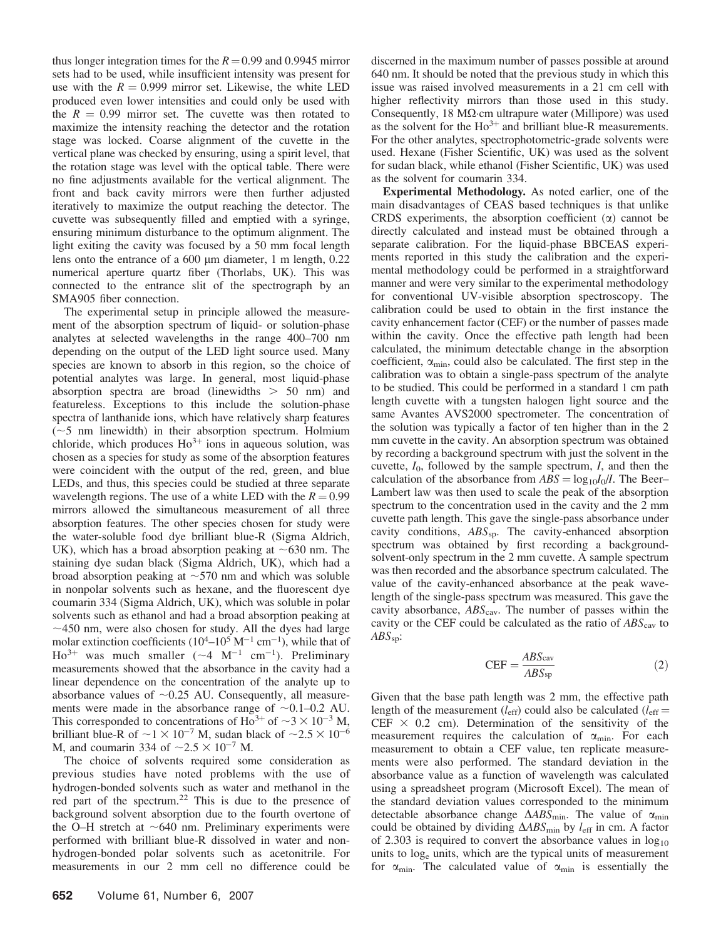thus longer integration times for the  $R = 0.99$  and 0.9945 mirror sets had to be used, while insufficient intensity was present for use with the  $R = 0.999$  mirror set. Likewise, the white LED produced even lower intensities and could only be used with the  $R = 0.99$  mirror set. The cuvette was then rotated to maximize the intensity reaching the detector and the rotation stage was locked. Coarse alignment of the cuvette in the vertical plane was checked by ensuring, using a spirit level, that the rotation stage was level with the optical table. There were no fine adjustments available for the vertical alignment. The front and back cavity mirrors were then further adjusted iteratively to maximize the output reaching the detector. The cuvette was subsequently filled and emptied with a syringe, ensuring minimum disturbance to the optimum alignment. The light exiting the cavity was focused by a 50 mm focal length lens onto the entrance of a  $600 \mu m$  diameter, 1 m length,  $0.22$ numerical aperture quartz fiber (Thorlabs, UK). This was connected to the entrance slit of the spectrograph by an SMA905 fiber connection.

The experimental setup in principle allowed the measurement of the absorption spectrum of liquid- or solution-phase analytes at selected wavelengths in the range 400-700 nm depending on the output of the LED light source used. Many species are known to absorb in this region, so the choice of potential analytes was large. In general, most liquid-phase absorption spectra are broad (linewidths  $> 50$  nm) and featureless. Exceptions to this include the solution-phase spectra of lanthanide ions, which have relatively sharp features  $(\sim 5$  nm linewidth) in their absorption spectrum. Holmium chloride, which produces  $Ho^{3+}$  ions in aqueous solution, was chosen as a species for study as some of the absorption features were coincident with the output of the red, green, and blue LEDs, and thus, this species could be studied at three separate wavelength regions. The use of a white LED with the  $R = 0.99$ mirrors allowed the simultaneous measurement of all three absorption features. The other species chosen for study were the water-soluble food dye brilliant blue-R (Sigma Aldrich, UK), which has a broad absorption peaking at  $\sim 630$  nm. The staining dye sudan black (Sigma Aldrich, UK), which had a broad absorption peaking at  $\sim$  570 nm and which was soluble in nonpolar solvents such as hexane, and the fluorescent dye coumarin 334 (Sigma Aldrich, UK), which was soluble in polar solvents such as ethanol and had a broad absorption peaking at  $\sim$ 450 nm, were also chosen for study. All the dyes had large molar extinction coefficients  $(10^4 - 10^5 \text{ M}^{-1} \text{ cm}^{-1})$ , while that of  $\text{Ho}^{3+}$  was much smaller (~4 M<sup>-1</sup> cm<sup>-1</sup>). Preliminary measurements showed that the absorbance in the cavity had a linear dependence on the concentration of the analyte up to absorbance values of  $\sim 0.25$  AU. Consequently, all measurements were made in the absorbance range of  $\sim 0.1 - 0.2$  AU. This corresponded to concentrations of  $\text{Ho}^{3+}$  of  $\sim$  3  $\times$  10<sup>-3</sup> M, brilliant blue-R of  $\sim$ 1 × 10<sup>-7</sup> M, sudan black of  $\sim$ 2.5 × 10<sup>-6</sup> M, and coumarin 334 of  $\sim$ 2.5  $\times$  10<sup>-7</sup> M.

The choice of solvents required some consideration as previous studies have noted problems with the use of hydrogen-bonded solvents such as water and methanol in the red part of the spectrum.<sup>22</sup> This is due to the presence of background solvent absorption due to the fourth overtone of the O-H stretch at  $\sim$  640 nm. Preliminary experiments were performed with brilliant blue-R dissolved in water and nonhydrogen-bonded polar solvents such as acetonitrile. For measurements in our 2 mm cell no difference could be

discerned in the maximum number of passes possible at around 640 nm. It should be noted that the previous study in which this issue was raised involved measurements in a 21 cm cell with higher reflectivity mirrors than those used in this study. Consequently, 18 M $\Omega$  cm ultrapure water (Millipore) was used as the solvent for the  $Ho^{3+}$  and brilliant blue-R measurements. For the other analytes, spectrophotometric-grade solvents were used. Hexane (Fisher Scientific, UK) was used as the solvent for sudan black, while ethanol (Fisher Scientific, UK) was used as the solvent for coumarin 334.

**Experimental Methodology.** As noted earlier, one of the main disadvantages of CEAS based techniques is that unlike CRDS experiments, the absorption coefficient  $(\alpha)$  cannot be directly calculated and instead must be obtained through a separate calibration. For the liquid-phase BBCEAS experiments reported in this study the calibration and the experimental methodology could be performed in a straightforward manner and were very similar to the experimental methodology for conventional UV-visible absorption spectroscopy. The calibration could be used to obtain in the first instance the cavity enhancement factor (CEF) or the number of passes made within the cavity. Once the effective path length had been calculated, the minimum detectable change in the absorption coefficient,  $\alpha_{\min}$ , could also be calculated. The first step in the calibration was to obtain a single-pass spectrum of the analyte to be studied. This could be performed in a standard 1 cm path length cuvette with a tungsten halogen light source and the same Avantes AVS2000 spectrometer. The concentration of the solution was typically a factor of ten higher than in the 2 mm cuvette in the cavity. An absorption spectrum was obtained by recording a background spectrum with just the solvent in the cuvette,  $I_0$ , followed by the sample spectrum, I, and then the calculation of the absorbance from  $ABS = log_{10}I_0/I$ . The Beer-Lambert law was then used to scale the peak of the absorption spectrum to the concentration used in the cavity and the 2 mm cuvette path length. This gave the single-pass absorbance under cavity conditions,  $ABS_{\rm sp}$ . The cavity-enhanced absorption spectrum was obtained by first recording a backgroundsolvent-only spectrum in the 2 mm cuvette. A sample spectrum was then recorded and the absorbance spectrum calculated. The value of the cavity-enhanced absorbance at the peak wavelength of the single-pass spectrum was measured. This gave the cavity absorbance,  $ABS_{\text{cav}}$ . The number of passes within the cavity or the CEF could be calculated as the ratio of  $ABS_{\text{cav}}$  to  $ABS_{\rm sn}:$ 

$$
CEF = \frac{ABS_{\text{cav}}}{ABS_{\text{sp}}} \tag{2}
$$

Given that the base path length was 2 mm, the effective path length of the measurement  $(l_{\text{eff}})$  could also be calculated  $(l_{\text{eff}} =$ CEF  $\times$  0.2 cm). Determination of the sensitivity of the measurement requires the calculation of  $\alpha_{\min}$ . For each measurement to obtain a CEF value, ten replicate measurements were also performed. The standard deviation in the absorbance value as a function of wavelength was calculated using a spreadsheet program (Microsoft Excel). The mean of the standard deviation values corresponded to the minimum detectable absorbance change  $\triangle ABS_{\text{min}}$ . The value of  $\alpha_{\text{min}}$ could be obtained by dividing  $\triangle ABS_{\text{min}}$  by  $l_{\text{eff}}$  in cm. A factor of 2.303 is required to convert the absorbance values in  $log_{10}$ units to log<sub>e</sub> units, which are the typical units of measurement for  $\alpha_{\min}$ . The calculated value of  $\alpha_{\min}$  is essentially the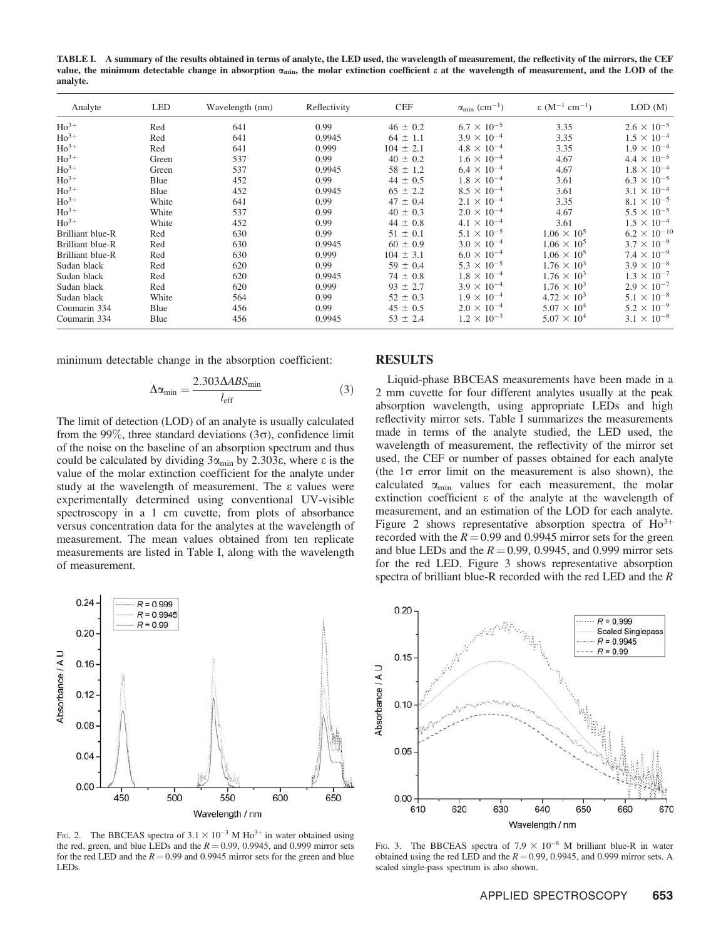TABLE I. A summary of the results obtained in terms of analyte, the LED used, the wavelength of measurement, the reflectivity of the mirrors, the CEF value, the minimum detectable change in absorption  $\alpha_{\min}$ , the molar extinction coefficient  $\varepsilon$  at the wavelength of measurement, and the LOD of the analyte.

| Analyte          | <b>LED</b> | Wavelength (nm) | Reflectivity | <b>CEF</b>    | $\alpha_{\rm min}$ (cm <sup>-1</sup> ) | $\epsilon$ (M <sup>-1</sup> cm <sup>-1</sup> ) | LOD(M)                |
|------------------|------------|-----------------|--------------|---------------|----------------------------------------|------------------------------------------------|-----------------------|
| $Ho^{3+}$        | Red        | 641             | 0.99         | $46 \pm 0.2$  | $6.7 \times 10^{-5}$                   | 3.35                                           | $2.6 \times 10^{-5}$  |
| $Ho^{3+}$        | Red        | 641             | 0.9945       | $64 \pm 1.1$  | $3.9 \times 10^{-4}$                   | 3.35                                           | $1.5 \times 10^{-4}$  |
| $Ho^{3+}$        | Red        | 641             | 0.999        | $104 \pm 2.1$ | $4.8 \times 10^{-4}$                   | 3.35                                           | $1.9 \times 10^{-4}$  |
| $Ho^{3+}$        | Green      | 537             | 0.99         | $40 \pm 0.2$  | $1.6 \times 10^{-4}$                   | 4.67                                           | $4.4 \times 10^{-5}$  |
| $Ho^{3+}$        | Green      | 537             | 0.9945       | $58 \pm 1.2$  | $6.4 \times 10^{-4}$                   | 4.67                                           | $1.8 \times 10^{-4}$  |
| $Ho^{3+}$        | Blue       | 452             | 0.99         | $44 \pm 0.5$  | $1.8 \times 10^{-4}$                   | 3.61                                           | $6.3 \times 10^{-5}$  |
| $Ho^{3+}$        | Blue       | 452             | 0.9945       | $65 \pm 2.2$  | $8.5 \times 10^{-4}$                   | 3.61                                           | $3.1 \times 10^{-4}$  |
| $Ho^{3+}$        | White      | 641             | 0.99         | $47 \pm 0.4$  | $2.1 \times 10^{-4}$                   | 3.35                                           | $8.1 \times 10^{-5}$  |
| $Ho^{3+}$        | White      | 537             | 0.99         | $40 \pm 0.3$  | $2.0 \times 10^{-4}$                   | 4.67                                           | $5.5 \times 10^{-5}$  |
| $Ho^{3+}$        | White      | 452             | 0.99         | $44 \pm 0.8$  | $4.1 \times 10^{-4}$                   | 3.61                                           | $1.5 \times 10^{-4}$  |
| Brilliant blue-R | Red        | 630             | 0.99         | $51 \pm 0.1$  | $5.1 \times 10^{-5}$                   | $1.06 \times 10^5$                             | $6.2 \times 10^{-10}$ |
| Brilliant blue-R | Red        | 630             | 0.9945       | $60 \pm 0.9$  | $3.0 \times 10^{-4}$                   | $1.06 \times 10^5$                             | $3.7 \times 10^{-9}$  |
| Brilliant blue-R | Red        | 630             | 0.999        | $104 \pm 3.1$ | $6.0 \times 10^{-4}$                   | $1.06 \times 10^5$                             | $7.4 \times 10^{-9}$  |
| Sudan black      | Red        | 620             | 0.99         | $59 \pm 0.4$  | $5.3 \times 10^{-5}$                   | $1.76 \times 10^3$                             | $3.9 \times 10^{-8}$  |
| Sudan black      | Red        | 620             | 0.9945       | $74 \pm 0.8$  | $1.8 \times 10^{-4}$                   | $1.76 \times 10^3$                             | $1.3 \times 10^{-7}$  |
| Sudan black      | Red        | 620             | 0.999        | $93 \pm 2.7$  | $3.9 \times 10^{-4}$                   | $1.76 \times 10^3$                             | $2.9 \times 10^{-7}$  |
| Sudan black      | White      | 564             | 0.99         | $52 \pm 0.3$  | $1.9 \times 10^{-4}$                   | $4.72 \times 10^3$                             | $5.1 \times 10^{-8}$  |
| Coumarin 334     | Blue       | 456             | 0.99         | $45 \pm 0.5$  | $2.0 \times 10^{-4}$                   | $5.07 \times 10^{4}$                           | $5.2 \times 10^{-9}$  |
| Coumarin 334     | Blue       | 456             | 0.9945       | $53 \pm 2.4$  | $1.2 \times 10^{-3}$                   | $5.07 \times 10^{4}$                           | $3.1 \times 10^{-8}$  |

minimum detectable change in the absorption coefficient:

$$
\Delta \alpha_{\min} = \frac{2.303 \Delta ABS_{\min}}{l_{\text{eff}}} \tag{3}
$$

The limit of detection (LOD) of an analyte is usually calculated from the 99%, three standard deviations ( $3\sigma$ ), confidence limit of the noise on the baseline of an absorption spectrum and thus could be calculated by dividing  $3\alpha_{\min}$  by 2.303 $\varepsilon$ , where  $\varepsilon$  is the value of the molar extinction coefficient for the analyte under study at the wavelength of measurement. The  $\varepsilon$  values were experimentally determined using conventional UV-visible spectroscopy in a 1 cm cuvette, from plots of absorbance versus concentration data for the analytes at the wavelength of measurement. The mean values obtained from ten replicate measurements are listed in Table I, along with the wavelength of measurement.



Liquid-phase BBCEAS measurements have been made in a 2 mm cuvette for four different analytes usually at the peak absorption wavelength, using appropriate LEDs and high reflectivity mirror sets. Table I summarizes the measurements made in terms of the analyte studied, the LED used, the wavelength of measurement, the reflectivity of the mirror set used, the CEF or number of passes obtained for each analyte (the  $1\sigma$  error limit on the measurement is also shown), the calculated  $\alpha_{\min}$  values for each measurement, the molar extinction coefficient  $\varepsilon$  of the analyte at the wavelength of measurement, and an estimation of the LOD for each analyte. Figure 2 shows representative absorption spectra of  $Ho^{3+}$ recorded with the  $R = 0.99$  and 0.9945 mirror sets for the green and blue LEDs and the  $R = 0.99, 0.9945$ , and 0.999 mirror sets for the red LED. Figure 3 shows representative absorption spectra of brilliant blue-R recorded with the red LED and the  $R$ 



FIG. 2. The BBCEAS spectra of  $3.1 \times 10^{-3}$  M Ho<sup>3+</sup> in water obtained using the red, green, and blue LEDs and the  $R = 0.99, 0.9945$ , and 0.999 mirror sets for the red LED and the  $R = 0.99$  and 0.9945 mirror sets for the green and blue LEDs.



FIG. 3. The BBCEAS spectra of  $7.9 \times 10^{-8}$  M brilliant blue-R in water obtained using the red LED and the  $R = 0.99, 0.9945$ , and 0.999 mirror sets. A scaled single-pass spectrum is also shown.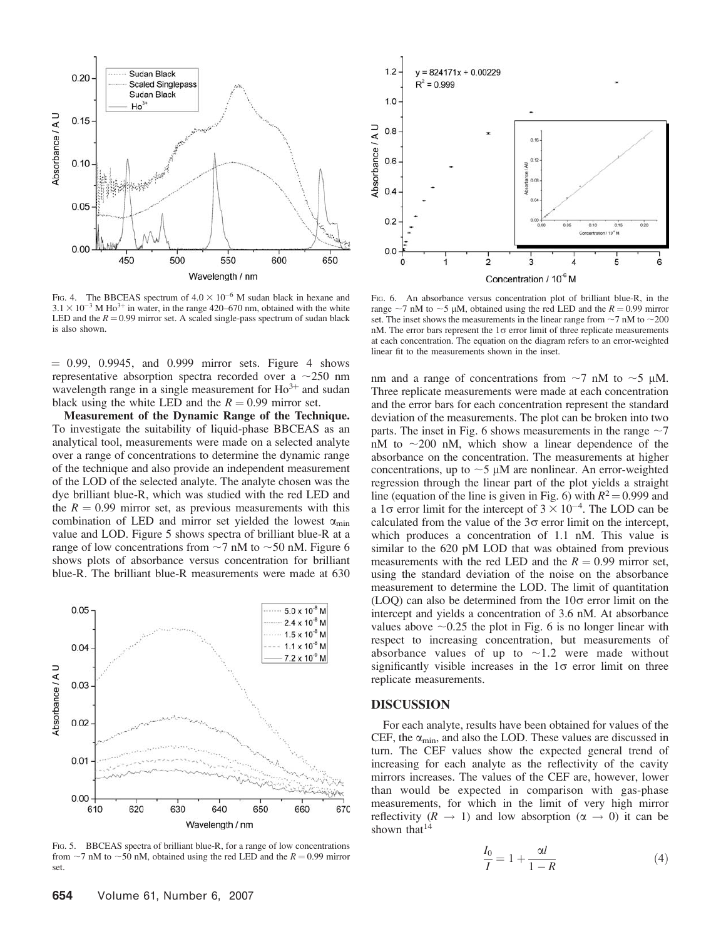

FIG. 4. The BBCEAS spectrum of  $4.0 \times 10^{-6}$  M sudan black in hexane and  $3.1 \times 10^{-3}$  M Ho<sup>3+</sup> in water, in the range 420–670 nm, obtained with the white LED and the  $R = 0.99$  mirror set. A scaled single-pass spectrum of sudan black is also shown.

 $= 0.99, 0.9945,$  and 0.999 mirror sets. Figure 4 shows representative absorption spectra recorded over a  $\sim$ 250 nm wavelength range in a single measurement for  $Ho^{3+}$  and sudan black using the white LED and the  $R = 0.99$  mirror set.

Measurement of the Dynamic Range of the Technique. To investigate the suitability of liquid-phase BBCEAS as an analytical tool, measurements were made on a selected analyte over a range of concentrations to determine the dynamic range of the technique and also provide an independent measurement of the LOD of the selected analyte. The analyte chosen was the dye brilliant blue-R, which was studied with the red LED and the  $R = 0.99$  mirror set, as previous measurements with this combination of LED and mirror set yielded the lowest  $\alpha_{\min}$ value and LOD. Figure 5 shows spectra of brilliant blue-R at a range of low concentrations from  $\sim$ 7 nM to  $\sim$ 50 nM. Figure 6 shows plots of absorbance versus concentration for brilliant blue-R. The brilliant blue-R measurements were made at 630



FIG. 5. BBCEAS spectra of brilliant blue-R, for a range of low concentrations from  $\sim$ 7 nM to  $\sim$ 50 nM, obtained using the red LED and the R = 0.99 mirror set.



FIG. 6. An absorbance versus concentration plot of brilliant blue-R, in the range ~7 nM to ~5 µM, obtained using the red LED and the  $R = 0.99$  mirror set. The inset shows the measurements in the linear range from  $\sim$  7 nM to  $\sim$  200 nM. The error bars represent the  $1\sigma$  error limit of three replicate measurements at each concentration. The equation on the diagram refers to an error-weighted linear fit to the measurements shown in the inset.

nm and a range of concentrations from  $\sim$ 7 nM to  $\sim$ 5 µM. Three replicate measurements were made at each concentration and the error bars for each concentration represent the standard deviation of the measurements. The plot can be broken into two parts. The inset in Fig. 6 shows measurements in the range  $\sim$ 7  $nM$  to  $\sim$ 200 nM, which show a linear dependence of the absorbance on the concentration. The measurements at higher concentrations, up to  $\sim$  5  $\mu$ M are nonlinear. An error-weighted regression through the linear part of the plot yields a straight line (equation of the line is given in Fig. 6) with  $R^2 = 0.999$  and a 1 $\sigma$  error limit for the intercept of  $3 \times 10^{-4}$ . The LOD can be calculated from the value of the  $3\sigma$  error limit on the intercept, which produces a concentration of 1.1 nM. This value is similar to the 620 pM LOD that was obtained from previous measurements with the red LED and the  $R = 0.99$  mirror set, using the standard deviation of the noise on the absorbance measurement to determine the LOD. The limit of quantitation  $(LOQ)$  can also be determined from the  $10\sigma$  error limit on the intercept and yields a concentration of 3.6 nM. At absorbance values above  $\sim 0.25$  the plot in Fig. 6 is no longer linear with respect to increasing concentration, but measurements of absorbance values of up to  $\sim$ 1.2 were made without significantly visible increases in the  $1\sigma$  error limit on three replicate measurements.

#### **DISCUSSION**

For each analyte, results have been obtained for values of the CEF, the  $\alpha_{\min}$ , and also the LOD. These values are discussed in turn. The CEF values show the expected general trend of increasing for each analyte as the reflectivity of the cavity mirrors increases. The values of the CEF are, however, lower than would be expected in comparison with gas-phase measurements, for which in the limit of very high mirror reflectivity ( $R \rightarrow 1$ ) and low absorption ( $\alpha \rightarrow 0$ ) it can be shown that<sup>14</sup>

$$
\frac{I_0}{I} = 1 + \frac{\alpha l}{1 - R} \tag{4}
$$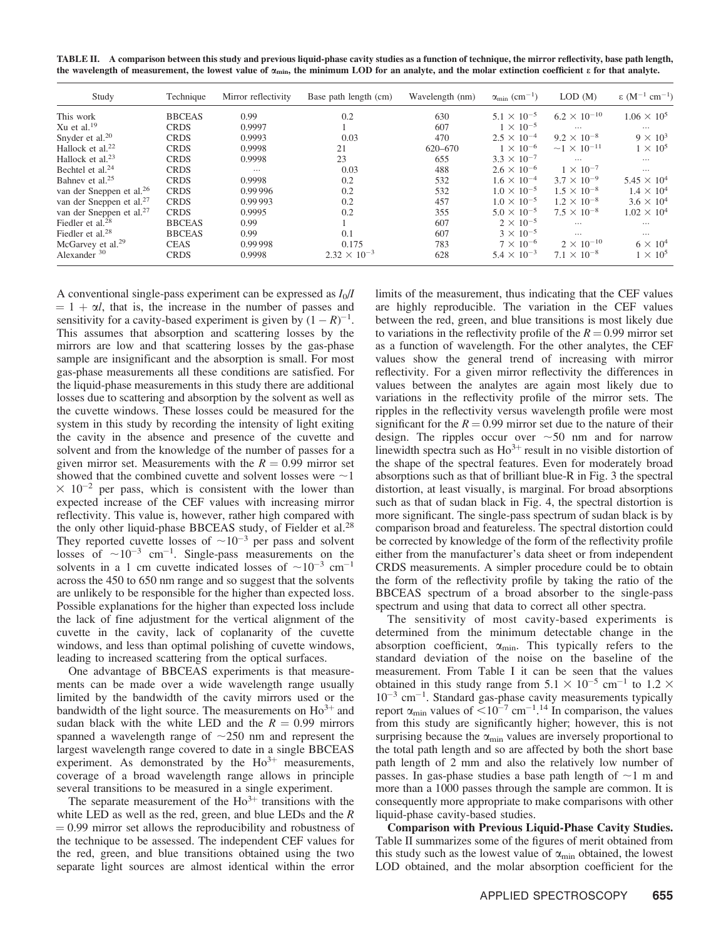TABLE II. A comparison between this study and previous liquid-phase cavity studies as a function of technique, the mirror reflectivity, base path length, the wavelength of measurement, the lowest value of  $\alpha_{\min}$ , the minimum LOD for an analyte, and the molar extinction coefficient  $\varepsilon$  for that analyte.

| Study                                | Technique     | Mirror reflectivity | Base path length (cm) | Wavelength (nm) | $\alpha_{\rm min}$ (cm <sup>-1</sup> ) | LOD(M)                | $\epsilon$ (M <sup>-1</sup> cm <sup>-1</sup> ) |
|--------------------------------------|---------------|---------------------|-----------------------|-----------------|----------------------------------------|-----------------------|------------------------------------------------|
| This work                            | <b>BBCEAS</b> | 0.99                | 0.2                   | 630             | $5.1 \times 10^{-5}$                   | $6.2 \times 10^{-10}$ | $1.06 \times 10^5$                             |
| Xu et al. $19$                       | <b>CRDS</b>   | 0.9997              |                       | 607             | $1 \times 10^{-5}$                     | $\cdots$              | $\cdots$                                       |
| Snyder et al. <sup>20</sup>          | <b>CRDS</b>   | 0.9993              | 0.03                  | 470             | $2.5 \times 10^{-4}$                   | $9.2 \times 10^{-8}$  | $9 \times 10^3$                                |
| Hallock et al. <sup>22</sup>         | <b>CRDS</b>   | 0.9998              | 21                    | 620-670         | $1 \times 10^{-6}$                     | $~1 \times 10^{-11}$  | $1 \times 10^5$                                |
| Hallock et al. <sup>23</sup>         | <b>CRDS</b>   | 0.9998              | 23                    | 655             | $3.3 \times 10^{-7}$                   | $\cdots$              | $\cdots$                                       |
| Bechtel et al. <sup>24</sup>         | <b>CRDS</b>   | $\cdots$            | 0.03                  | 488             | $2.6 \times 10^{-6}$                   | $1 \times 10^{-7}$    | $\cdots$                                       |
| Bahnev et al. <sup>25</sup>          | <b>CRDS</b>   | 0.9998              | 0.2                   | 532             | $1.6 \times 10^{-4}$                   | $3.7 \times 10^{-9}$  | $5.45 \times 10^{4}$                           |
| van der Sneppen et al. <sup>26</sup> | <b>CRDS</b>   | 0.99 996            | 0.2                   | 532             | $1.0 \times 10^{-5}$                   | $1.5 \times 10^{-8}$  | $1.4 \times 10^4$                              |
| van der Sneppen et al. <sup>27</sup> | <b>CRDS</b>   | 0.99993             | 0.2                   | 457             | $1.0 \times 10^{-5}$                   | $1.2 \times 10^{-8}$  | $3.6 \times 10^{4}$                            |
| van der Sneppen et al. <sup>27</sup> | <b>CRDS</b>   | 0.9995              | 0.2                   | 355             | $5.0 \times 10^{-5}$                   | $7.5 \times 10^{-8}$  | $1.02 \times 10^{4}$                           |
| Fiedler et al. $^{28}$               | <b>BBCEAS</b> | 0.99                |                       | 607             | $2 \times 10^{-5}$                     | $\cdots$              | $\cdots$                                       |
| Fiedler et al. <sup>28</sup>         | <b>BBCEAS</b> | 0.99                | 0.1                   | 607             | $3 \times 10^{-5}$                     | $\cdots$              | $\cdots$                                       |
| McGarvey et al. <sup>29</sup>        | <b>CEAS</b>   | 0.99998             | 0.175                 | 783             | $7 \times 10^{-6}$                     | $2 \times 10^{-10}$   | $6 \times 10^4$                                |
| Alexander <sup>30</sup>              | <b>CRDS</b>   | 0.9998              | $2.32 \times 10^{-3}$ | 628             | $5.4 \times 10^{-3}$                   | $7.1 \times 10^{-8}$  | $1 \times 10^5$                                |

A conventional single-pass experiment can be expressed as  $I_0/I$  $= 1 + \alpha l$ , that is, the increase in the number of passes and sensitivity for a cavity-based experiment is given by  $(1 - R)^{-1}$ . This assumes that absorption and scattering losses by the mirrors are low and that scattering losses by the gas-phase sample are insignificant and the absorption is small. For most gas-phase measurements all these conditions are satisfied. For the liquid-phase measurements in this study there are additional losses due to scattering and absorption by the solvent as well as the cuvette windows. These losses could be measured for the system in this study by recording the intensity of light exiting the cavity in the absence and presence of the cuvette and solvent and from the knowledge of the number of passes for a given mirror set. Measurements with the  $R = 0.99$  mirror set showed that the combined cuvette and solvent losses were  $\sim$  1  $\times$  10<sup>-2</sup> per pass, which is consistent with the lower than expected increase of the CEF values with increasing mirror reflectivity. This value is, however, rather high compared with the only other liquid-phase BBCEAS study, of Fielder et al.<sup>28</sup> They reported cuvette losses of  $\sim 10^{-3}$  per pass and solvent losses of  $\sim 10^{-3}$  cm<sup>-1</sup>. Single-pass measurements on the solvents in a 1 cm cuvette indicated losses of  $\sim 10^{-3}$  cm<sup>-1</sup> across the 450 to 650 nm range and so suggest that the solvents are unlikely to be responsible for the higher than expected loss. Possible explanations for the higher than expected loss include the lack of fine adjustment for the vertical alignment of the cuvette in the cavity, lack of coplanarity of the cuvette windows, and less than optimal polishing of cuvette windows, leading to increased scattering from the optical surfaces.

One advantage of BBCEAS experiments is that measurements can be made over a wide wavelength range usually limited by the bandwidth of the cavity mirrors used or the bandwidth of the light source. The measurements on  $Ho^{3+}$  and sudan black with the white LED and the  $R = 0.99$  mirrors spanned a wavelength range of  $\sim$ 250 nm and represent the largest wavelength range covered to date in a single BBCEAS experiment. As demonstrated by the  $Ho^{3+}$  measurements, coverage of a broad wavelength range allows in principle several transitions to be measured in a single experiment.

The separate measurement of the  $Ho^{3+}$  transitions with the white LED as well as the red, green, and blue LEDs and the  $R$  $= 0.99$  mirror set allows the reproducibility and robustness of the technique to be assessed. The independent CEF values for the red, green, and blue transitions obtained using the two separate light sources are almost identical within the error

limits of the measurement, thus indicating that the CEF values are highly reproducible. The variation in the CEF values between the red, green, and blue transitions is most likely due to variations in the reflectivity profile of the  $R = 0.99$  mirror set as a function of wavelength. For the other analytes, the CEF values show the general trend of increasing with mirror reflectivity. For a given mirror reflectivity the differences in values between the analytes are again most likely due to variations in the reflectivity profile of the mirror sets. The ripples in the reflectivity versus wavelength profile were most significant for the  $R = 0.99$  mirror set due to the nature of their design. The ripples occur over  $\sim 50$  nm and for narrow linewidth spectra such as  $Ho^{3+}$  result in no visible distortion of the shape of the spectral features. Even for moderately broad absorptions such as that of brilliant blue-R in Fig. 3 the spectral distortion, at least visually, is marginal. For broad absorptions such as that of sudan black in Fig. 4, the spectral distortion is more significant. The single-pass spectrum of sudan black is by comparison broad and featureless. The spectral distortion could be corrected by knowledge of the form of the reflectivity profile either from the manufacturer's data sheet or from independent CRDS measurements. A simpler procedure could be to obtain the form of the reflectivity profile by taking the ratio of the BBCEAS spectrum of a broad absorber to the single-pass spectrum and using that data to correct all other spectra.

The sensitivity of most cavity-based experiments is determined from the minimum detectable change in the absorption coefficient,  $\alpha_{\min}$ . This typically refers to the standard deviation of the noise on the baseline of the measurement. From Table I it can be seen that the values obtained in this study range from  $5.1 \times 10^{-5}$  cm<sup>-1</sup> to  $1.2 \times$  $10^{-3}$  cm<sup>-1</sup>. Standard gas-phase cavity measurements typically report  $\alpha_{\min}$  values of  $\leq 10^{-7}$  cm<sup>-1</sup>.<sup>14</sup> In comparison, the values from this study are significantly higher; however, this is not surprising because the  $\alpha_{\min}$  values are inversely proportional to the total path length and so are affected by both the short base path length of 2 mm and also the relatively low number of passes. In gas-phase studies a base path length of  $\sim$ 1 m and more than a 1000 passes through the sample are common. It is consequently more appropriate to make comparisons with other liquid-phase cavity-based studies.

**Comparison with Previous Liquid-Phase Cavity Studies.** Table II summarizes some of the figures of merit obtained from this study such as the lowest value of  $\alpha_{\min}$  obtained, the lowest LOD obtained, and the molar absorption coefficient for the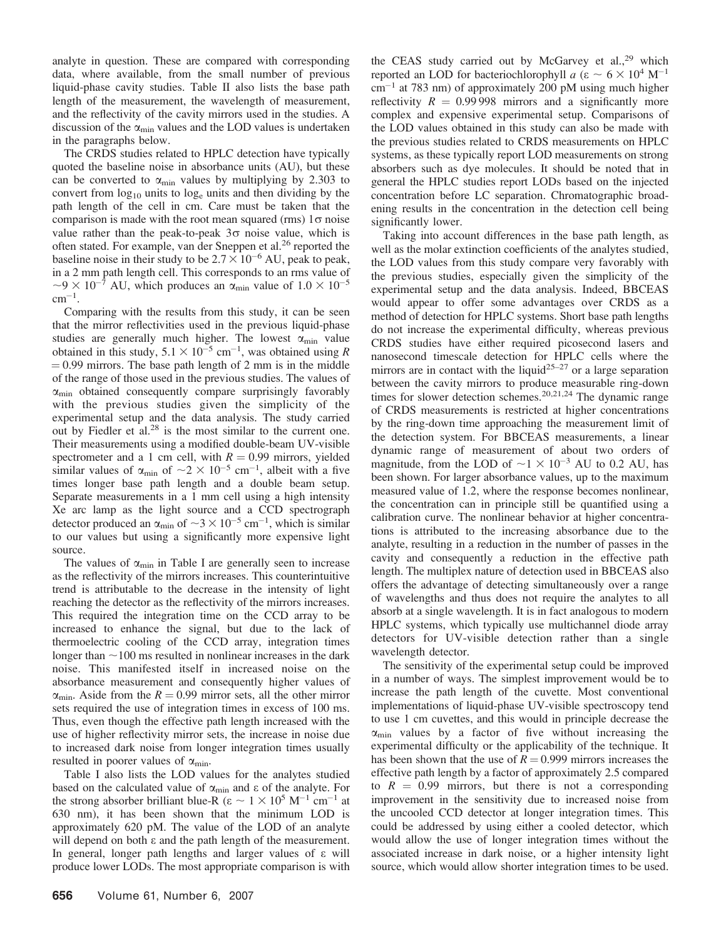analyte in question. These are compared with corresponding data, where available, from the small number of previous liquid-phase cavity studies. Table II also lists the base path length of the measurement, the wavelength of measurement, and the reflectivity of the cavity mirrors used in the studies. A discussion of the  $\alpha_{\min}$  values and the LOD values is undertaken in the paragraphs below.

The CRDS studies related to HPLC detection have typically quoted the baseline noise in absorbance units (AU), but these can be converted to  $\alpha_{\min}$  values by multiplying by 2.303 to convert from  $log_{10}$  units to  $log_e$  units and then dividing by the path length of the cell in cm. Care must be taken that the comparison is made with the root mean squared (rms)  $1\sigma$  noise value rather than the peak-to-peak  $3\sigma$  noise value, which is often stated. For example, van der Sneppen et al.<sup>26</sup> reported the baseline noise in their study to be  $2.7 \times 10^{-6}$  AU, peak to peak, in a 2 mm path length cell. This corresponds to an rms value of  $\sim$ 9 × 10<sup>-7</sup> AU, which produces an  $\alpha_{\text{min}}$  value of 1.0 × 10<sup>-5</sup>  $cm^{-1}$ .

Comparing with the results from this study, it can be seen that the mirror reflectivities used in the previous liquid-phase studies are generally much higher. The lowest  $\alpha_{\min}$  value obtained in this study,  $5.1 \times 10^{-5}$  cm<sup>-1</sup>, was obtained using R  $= 0.99$  mirrors. The base path length of 2 mm is in the middle of the range of those used in the previous studies. The values of  $\alpha_{\min}$  obtained consequently compare surprisingly favorably with the previous studies given the simplicity of the experimental setup and the data analysis. The study carried out by Fiedler et al.<sup>28</sup> is the most similar to the current one. Their measurements using a modified double-beam UV-visible spectrometer and a 1 cm cell, with  $R = 0.99$  mirrors, yielded similar values of  $\alpha_{\min}$  of  $\sim 2 \times 10^{-5}$  cm<sup>-1</sup>, albeit with a five times longer base path length and a double beam setup. Separate measurements in a 1 mm cell using a high intensity Xe arc lamp as the light source and a CCD spectrograph detector produced an  $\alpha_{\min}$  of  $\sim 3 \times 10^{-5}$  cm<sup>-1</sup>, which is similar to our values but using a significantly more expensive light source.

The values of  $\alpha_{\min}$  in Table I are generally seen to increase as the reflectivity of the mirrors increases. This counterintuitive trend is attributable to the decrease in the intensity of light reaching the detector as the reflectivity of the mirrors increases. This required the integration time on the CCD array to be increased to enhance the signal, but due to the lack of thermoelectric cooling of the CCD array, integration times longer than  $\sim$ 100 ms resulted in nonlinear increases in the dark noise. This manifested itself in increased noise on the absorbance measurement and consequently higher values of  $\alpha_{\min}$ . Aside from the  $R = 0.99$  mirror sets, all the other mirror sets required the use of integration times in excess of 100 ms. Thus, even though the effective path length increased with the use of higher reflectivity mirror sets, the increase in noise due to increased dark noise from longer integration times usually resulted in poorer values of  $\alpha_{\min}$ .

Table I also lists the LOD values for the analytes studied based on the calculated value of  $\alpha_{\min}$  and  $\varepsilon$  of the analyte. For the strong absorber brilliant blue-R ( $\varepsilon \sim 1 \times 10^5$  M<sup>-1</sup> cm<sup>-1</sup> at 630 nm), it has been shown that the minimum LOD is approximately 620 pM. The value of the LOD of an analyte will depend on both  $\varepsilon$  and the path length of the measurement. In general, longer path lengths and larger values of ε will produce lower LODs. The most appropriate comparison is with the CEAS study carried out by McGarvey et al.,<sup>29</sup> which reported an LOD for bacteriochlorophyll a ( $\varepsilon \sim 6 \times 10^4$  M<sup>-1</sup>  $\text{cm}^{-1}$  at 783 nm) of approximately 200 pM using much higher reflectivity  $R = 0.99998$  mirrors and a significantly more complex and expensive experimental setup. Comparisons of the LOD values obtained in this study can also be made with the previous studies related to CRDS measurements on HPLC systems, as these typically report LOD measurements on strong absorbers such as dye molecules. It should be noted that in general the HPLC studies report LODs based on the injected concentration before LC separation. Chromatographic broadening results in the concentration in the detection cell being significantly lower.

Taking into account differences in the base path length, as well as the molar extinction coefficients of the analytes studied, the LOD values from this study compare very favorably with the previous studies, especially given the simplicity of the experimental setup and the data analysis. Indeed, BBCEAS would appear to offer some advantages over CRDS as a method of detection for HPLC systems. Short base path lengths do not increase the experimental difficulty, whereas previous CRDS studies have either required picosecond lasers and nanosecond timescale detection for HPLC cells where the mirrors are in contact with the liquid<sup>25-27</sup> or a large separation between the cavity mirrors to produce measurable ring-down times for slower detection schemes.<sup>20,21,24</sup> The dynamic range of CRDS measurements is restricted at higher concentrations by the ring-down time approaching the measurement limit of the detection system. For BBCEAS measurements, a linear dynamic range of measurement of about two orders of magnitude, from the LOD of  $\sim$ 1  $\times$  10<sup>-3</sup> AU to 0.2 AU, has been shown. For larger absorbance values, up to the maximum measured value of 1.2, where the response becomes nonlinear, the concentration can in principle still be quantified using a calibration curve. The nonlinear behavior at higher concentrations is attributed to the increasing absorbance due to the analyte, resulting in a reduction in the number of passes in the cavity and consequently a reduction in the effective path length. The multiplex nature of detection used in BBCEAS also offers the advantage of detecting simultaneously over a range of wavelengths and thus does not require the analytes to all absorb at a single wavelength. It is in fact analogous to modern HPLC systems, which typically use multichannel diode array detectors for UV-visible detection rather than a single wavelength detector.

The sensitivity of the experimental setup could be improved in a number of ways. The simplest improvement would be to increase the path length of the cuvette. Most conventional implementations of liquid-phase UV-visible spectroscopy tend to use 1 cm cuvettes, and this would in principle decrease the  $\alpha_{\min}$  values by a factor of five without increasing the experimental difficulty or the applicability of the technique. It has been shown that the use of  $R = 0.999$  mirrors increases the effective path length by a factor of approximately 2.5 compared to  $R = 0.99$  mirrors, but there is not a corresponding improvement in the sensitivity due to increased noise from the uncooled CCD detector at longer integration times. This could be addressed by using either a cooled detector, which would allow the use of longer integration times without the associated increase in dark noise, or a higher intensity light source, which would allow shorter integration times to be used.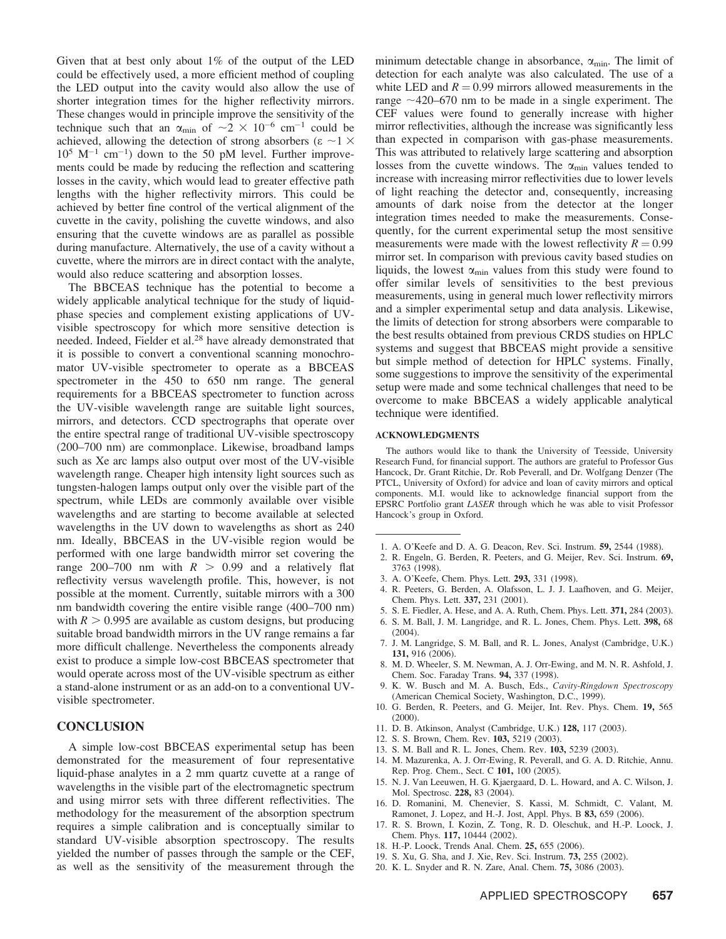Given that at best only about  $1\%$  of the output of the LED could be effectively used, a more efficient method of coupling the LED output into the cavity would also allow the use of shorter integration times for the higher reflectivity mirrors. These changes would in principle improve the sensitivity of the technique such that an  $\alpha_{\min}$  of  $\sim 2 \times 10^{-6}$  cm<sup>-1</sup> could be achieved, allowing the detection of strong absorbers ( $\varepsilon \sim 1 \times$  $10^5$  M<sup>-1</sup> cm<sup>-1</sup>) down to the 50 pM level. Further improvements could be made by reducing the reflection and scattering losses in the cavity, which would lead to greater effective path lengths with the higher reflectivity mirrors. This could be achieved by better fine control of the vertical alignment of the cuvette in the cavity, polishing the cuvette windows, and also ensuring that the cuvette windows are as parallel as possible during manufacture. Alternatively, the use of a cavity without a cuvette, where the mirrors are in direct contact with the analyte, would also reduce scattering and absorption losses.

The BBCEAS technique has the potential to become a widely applicable analytical technique for the study of liquidphase species and complement existing applications of UVvisible spectroscopy for which more sensitive detection is needed. Indeed, Fielder et al.<sup>28</sup> have already demonstrated that it is possible to convert a conventional scanning monochromator UV-visible spectrometer to operate as a BBCEAS spectrometer in the 450 to 650 nm range. The general requirements for a BBCEAS spectrometer to function across the UV-visible wavelength range are suitable light sources, mirrors, and detectors. CCD spectrographs that operate over the entire spectral range of traditional UV-visible spectroscopy (200-700 nm) are commonplace. Likewise, broadband lamps such as Xe arc lamps also output over most of the UV-visible wavelength range. Cheaper high intensity light sources such as tungsten-halogen lamps output only over the visible part of the spectrum, while LEDs are commonly available over visible wavelengths and are starting to become available at selected wavelengths in the UV down to wavelengths as short as 240 nm. Ideally, BBCEAS in the UV-visible region would be performed with one large bandwidth mirror set covering the range 200–700 nm with  $R > 0.99$  and a relatively flat reflectivity versus wavelength profile. This, however, is not possible at the moment. Currently, suitable mirrors with a 300 nm bandwidth covering the entire visible range (400–700 nm) with  $R > 0.995$  are available as custom designs, but producing suitable broad bandwidth mirrors in the UV range remains a far more difficult challenge. Nevertheless the components already exist to produce a simple low-cost BBCEAS spectrometer that would operate across most of the UV-visible spectrum as either a stand-alone instrument or as an add-on to a conventional UVvisible spectrometer.

## **CONCLUSION**

A simple low-cost BBCEAS experimental setup has been demonstrated for the measurement of four representative liquid-phase analytes in a 2 mm quartz cuvette at a range of wavelengths in the visible part of the electromagnetic spectrum and using mirror sets with three different reflectivities. The methodology for the measurement of the absorption spectrum requires a simple calibration and is conceptually similar to standard UV-visible absorption spectroscopy. The results yielded the number of passes through the sample or the CEF, as well as the sensitivity of the measurement through the

minimum detectable change in absorbance,  $\alpha_{\min}$ . The limit of detection for each analyte was also calculated. The use of a white LED and  $R = 0.99$  mirrors allowed measurements in the range  $\sim$ 420–670 nm to be made in a single experiment. The CEF values were found to generally increase with higher mirror reflectivities, although the increase was significantly less than expected in comparison with gas-phase measurements. This was attributed to relatively large scattering and absorption losses from the cuvette windows. The  $\alpha_{\min}$  values tended to increase with increasing mirror reflectivities due to lower levels of light reaching the detector and, consequently, increasing amounts of dark noise from the detector at the longer integration times needed to make the measurements. Consequently, for the current experimental setup the most sensitive measurements were made with the lowest reflectivity  $R = 0.99$ mirror set. In comparison with previous cavity based studies on liquids, the lowest  $\alpha_{\min}$  values from this study were found to offer similar levels of sensitivities to the best previous measurements, using in general much lower reflectivity mirrors and a simpler experimental setup and data analysis. Likewise, the limits of detection for strong absorbers were comparable to the best results obtained from previous CRDS studies on HPLC systems and suggest that BBCEAS might provide a sensitive but simple method of detection for HPLC systems. Finally, some suggestions to improve the sensitivity of the experimental setup were made and some technical challenges that need to be overcome to make BBCEAS a widely applicable analytical technique were identified.

#### **ACKNOWLEDGMENTS**

The authors would like to thank the University of Teesside, University Research Fund, for financial support. The authors are grateful to Professor Gus Hancock, Dr. Grant Ritchie, Dr. Rob Peverall, and Dr. Wolfgang Denzer (The PTCL, University of Oxford) for advice and loan of cavity mirrors and optical components. M.I. would like to acknowledge financial support from the EPSRC Portfolio grant LASER through which he was able to visit Professor Hancock's group in Oxford.

- 1. A. O'Keefe and D. A. G. Deacon, Rev. Sci. Instrum. 59, 2544 (1988).
- 2. R. Engeln, G. Berden, R. Peeters, and G. Meijer, Rev. Sci. Instrum. 69, 3763 (1998).
- 3. A. O'Keefe, Chem. Phys. Lett. 293, 331 (1998).
- 4. R. Peeters, G. Berden, A. Olafsson, L. J. J. Laafhoven, and G. Meijer, Chem. Phys. Lett. 337, 231 (2001).
- 5. S. E. Fiedler, A. Hese, and A. A. Ruth, Chem. Phys. Lett. 371, 284 (2003).
- 6. S. M. Ball, J. M. Langridge, and R. L. Jones, Chem. Phys. Lett. 398, 68  $(2004).$
- 7. J. M. Langridge, S. M. Ball, and R. L. Jones, Analyst (Cambridge, U.K.) 131, 916 (2006).
- 8. M. D. Wheeler, S. M. Newman, A. J. Orr-Ewing, and M. N. R. Ashfold, J. Chem. Soc. Faraday Trans. 94, 337 (1998).
- 9. K. W. Busch and M. A. Busch, Eds., Cavity-Ringdown Spectroscopy (American Chemical Society, Washington, D.C., 1999).
- 10. G. Berden, R. Peeters, and G. Meijer, Int. Rev. Phys. Chem. 19, 565  $(2000)$ .
- 11. D. B. Atkinson, Analyst (Cambridge, U.K.) 128, 117 (2003).
- 12. S. S. Brown, Chem. Rev. 103, 5219 (2003).
- 13. S. M. Ball and R. L. Jones, Chem. Rev. 103, 5239 (2003).
- 14. M. Mazurenka, A. J. Orr-Ewing, R. Peverall, and G. A. D. Ritchie, Annu. Rep. Prog. Chem., Sect. C 101, 100 (2005).
- 15. N. J. Van Leeuwen, H. G. Kjaergaard, D. L. Howard, and A. C. Wilson, J. Mol. Spectrosc. 228, 83 (2004).
- 16. D. Romanini, M. Chenevier, S. Kassi, M. Schmidt, C. Valant, M. Ramonet, J. Lopez, and H.-J. Jost, Appl. Phys. B 83, 659 (2006).
- 17. R. S. Brown, I. Kozin, Z. Tong, R. D. Oleschuk, and H.-P. Loock, J. Chem. Phys. 117, 10444 (2002).
- 18. H.-P. Loock, Trends Anal. Chem. 25, 655 (2006).
- 19. S. Xu, G. Sha, and J. Xie, Rev. Sci. Instrum. 73, 255 (2002).
- 20. K. L. Snyder and R. N. Zare, Anal. Chem. 75, 3086 (2003).